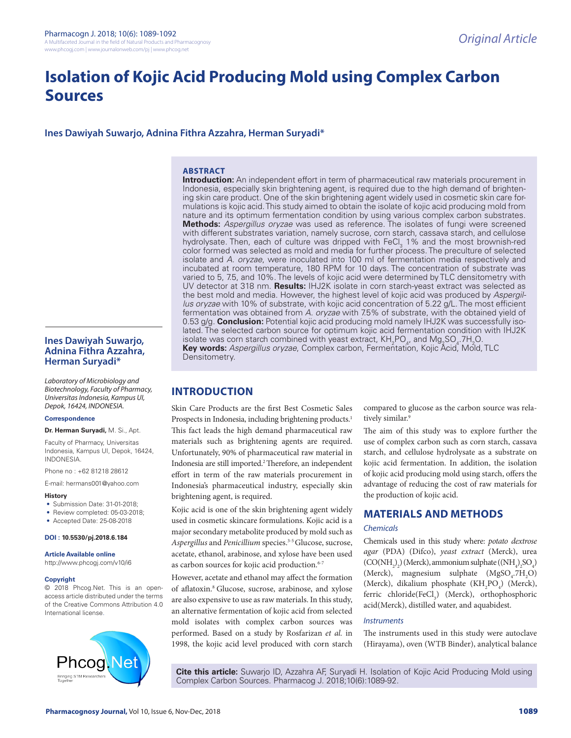# **Isolation of Kojic Acid Producing Mold using Complex Carbon Sources**

**Ines Dawiyah Suwarjo, Adnina Fithra Azzahra, Herman Suryadi\***

# **ABSTRACT**

**Introduction:** An independent effort in term of pharmaceutical raw materials procurement in Indonesia, especially skin brightening agent, is required due to the high demand of brightening skin care product. One of the skin brightening agent widely used in cosmetic skin care formulations is kojic acid. This study aimed to obtain the isolate of kojic acid producing mold from nature and its optimum fermentation condition by using various complex carbon substrates. **Methods:** *Aspergillus oryzae* was used as reference. The isolates of fungi were screened with different substrates variation, namely sucrose, corn starch, cassava starch, and cellulose hydrolysate. Then, each of culture was dripped with FeCl<sub>3</sub> 1% and the most brownish-red color formed was selected as mold and media for further process. The preculture of selected isolate and *A. oryzae*, were inoculated into 100 ml of fermentation media respectively and incubated at room temperature, 180 RPM for 10 days. The concentration of substrate was varied to 5, 7.5, and 10%. The levels of kojic acid were determined by TLC densitometry with UV detector at 318 nm. **Results:** IHJ2K isolate in corn starch-yeast extract was selected as the best mold and media. However, the highest level of kojic acid was produced by *Aspergillus oryzae* with 10% of substrate, with kojic acid concentration of 5.22 g/L. The most efficient fermentation was obtained from *A. oryzae* with 7.5% of substrate, with the obtained yield of 0.53 g/g. **Conclusion:** Potential kojic acid producing mold namely IHJ2K was successfully isolated. The selected carbon source for optimum kojic acid fermentation condition with IHJ2K isolate was corn starch combined with yeast extract,  $KH_{2}PO_{4}$ , and  $Mg_{2}SO_{4}$  7H<sub>2</sub>O. **Key words:** *Aspergillus oryzae*, Complex carbon, Fermentation, Kojic Acid, Mold, TLC Densitometry.

# **Ines Dawiyah Suwarjo, Adnina Fithra Azzahra, Herman Suryadi\***

*Laboratory of Microbiology and Biotechnology, Faculty of Pharmacy, Universitas Indonesia, Kampus UI, Depok, 16424, INDONESIA.*

#### **Correspondence**

**Dr. Herman Suryadi,** M. Si., Apt.

Faculty of Pharmacy, Universitas Indonesia, Kampus UI, Depok, 16424, INDONESIA.

Phone no : +62 81218 28612

E-mail: hermans001@yahoo.com

#### **History**

- Submission Date: 31-01-2018;
- Review completed: 05-03-2018:
- Accepted Date: 25-08-2018

#### **DOI : 10.5530/pj.2018.6.184**

**Article Available online**  http://www.phcogj.com/v10/i6

#### **Copyright**

© 2018 Phcog.Net. This is an openaccess article distributed under the terms of the Creative Commons Attribution 4.0 International license.



**INTRODUCTION**

Skin Care Products are the first Best Cosmetic Sales Prospects in Indonesia, including brightening products.<sup>1</sup> This fact leads the high demand pharmaceutical raw materials such as brightening agents are required. Unfortunately, 90% of pharmaceutical raw material in Indonesia are still imported.<sup>2</sup> Therefore, an independent effort in term of the raw materials procurement in Indonesia's pharmaceutical industry, especially skin brightening agent, is required.

Kojic acid is one of the skin brightening agent widely used in cosmetic skincare formulations. Kojic acid is a major secondary metabolite produced by mold such as *Aspergillus* and *Penicillium* species.3-5 Glucose, sucrose, acetate, ethanol, arabinose, and xylose have been used as carbon sources for kojic acid production.<sup>6-7</sup>

However, acetate and ethanol may affect the formation of aflatoxin.8 Glucose, sucrose, arabinose, and xylose are also expensive to use as raw materials. In this study, an alternative fermentation of kojic acid from selected mold isolates with complex carbon sources was performed. Based on a study by Rosfarizan *et al.* in 1998, the kojic acid level produced with corn starch

compared to glucose as the carbon source was relatively similar.<sup>9</sup>

The aim of this study was to explore further the use of complex carbon such as corn starch, cassava starch, and cellulose hydrolysate as a substrate on kojic acid fermentation. In addition, the isolation of kojic acid producing mold using starch, offers the advantage of reducing the cost of raw materials for the production of kojic acid.

# **MATERIALS AND METHODS**

# *Chemicals*

Chemicals used in this study where: *potato dextrose agar* (PDA) (Difco), *yeast extract* (Merck), urea  $(CO(NH_2)_2)$  (Merck), ammonium sulphate ( $(NH_4)_2SO_4$ ) (Merck), magnesium sulphate  $(MgSO<sub>4</sub>:7H<sub>2</sub>O)$ (Merck), dikalium phosphate  $(KH_2PO_4)$  (Merck), ferric chloride(FeCl<sub>3</sub>) (Merck), orthophosphoric acid(Merck), distilled water, and aquabidest.

# *Instruments*

The instruments used in this study were autoclave (Hirayama), oven (WTB Binder), analytical balance

**Cite this article:** Suwarjo ID, Azzahra AF, Suryadi H. Isolation of Kojic Acid Producing Mold using Complex Carbon Sources. Pharmacog J. 2018;10(6):1089-92.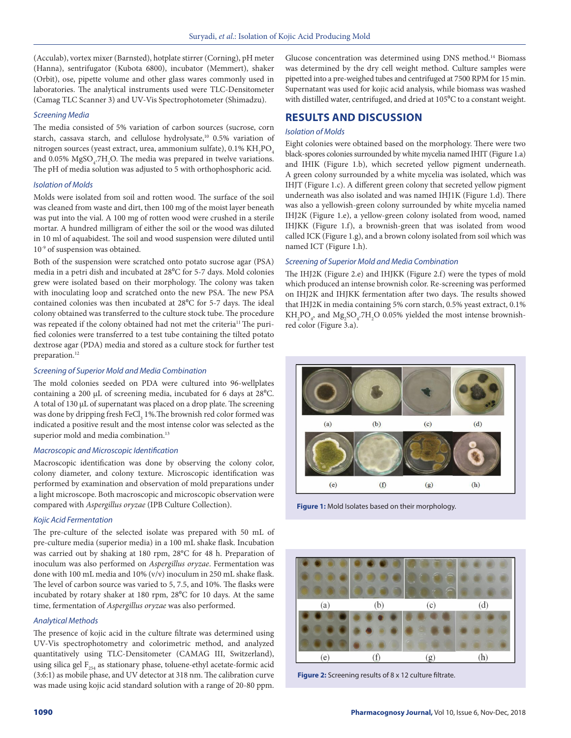(Acculab), vortex mixer (Barnsted), hotplate stirrer (Corning), pH meter (Hanna), sentrifugator (Kubota 6800), incubator (Memmert), shaker (Orbit), ose, pipette volume and other glass wares commonly used in laboratories. The analytical instruments used were TLC-Densitometer (Camag TLC Scanner 3) and UV-Vis Spectrophotometer (Shimadzu).

#### *Screening Media*

The media consisted of 5% variation of carbon sources (sucrose, corn starch, cassava starch, and cellulose hydrolysate,<sup>10</sup> 0.5% variation of nitrogen sources (yeast extract, urea, ammonium sulfate),  $0.1\% \text{ KH}_{2}\text{PO}_{4}$ and 0.05%  $MgSO_{4}$ .7H<sub>2</sub>O. The media was prepared in twelve variations. The pH of media solution was adjusted to 5 with orthophosphoric acid.

# *Isolation of Molds*

Molds were isolated from soil and rotten wood. The surface of the soil was cleaned from waste and dirt, then 100 mg of the moist layer beneath was put into the vial. A 100 mg of rotten wood were crushed in a sterile mortar. A hundred milligram of either the soil or the wood was diluted in 10 ml of aquabidest. The soil and wood suspension were diluted until 10-9 of suspension was obtained.

Both of the suspension were scratched onto potato sucrose agar (PSA) media in a petri dish and incubated at 28<sup>o</sup>C for 5-7 days. Mold colonies grew were isolated based on their morphology. The colony was taken with inoculating loop and scratched onto the new PSA. The new PSA contained colonies was then incubated at 28<sup>o</sup>C for 5-7 days. The ideal colony obtained was transferred to the culture stock tube. The procedure was repeated if the colony obtained had not met the criteria<sup>11</sup> The purified colonies were transferred to a test tube containing the tilted potato dextrose agar (PDA) media and stored as a culture stock for further test preparation.<sup>12</sup>

## *Screening of Superior Mold and Media Combination*

The mold colonies seeded on PDA were cultured into 96-wellplates containing a 200 μL of screening media, incubated for 6 days at 28⁰C. A total of 130 μL of supernatant was placed on a drop plate. The screening was done by dripping fresh  ${\rm FeCl}_{_3}$  1%.<br>The brownish red color formed was indicated a positive result and the most intense color was selected as the superior mold and media combination.<sup>13</sup>

# *Macroscopic and Microscopic Identification*

Macroscopic identification was done by observing the colony color, colony diameter, and colony texture. Microscopic identification was performed by examination and observation of mold preparations under a light microscope. Both macroscopic and microscopic observation were compared with *Aspergillus oryzae* (IPB Culture Collection).

### *Kojic Acid Fermentation*

The pre-culture of the selected isolate was prepared with 50 mL of pre-culture media (superior media) in a 100 mL shake flask. Incubation was carried out by shaking at 180 rpm, 28°C for 48 h. Preparation of inoculum was also performed on *Aspergillus oryzae*. Fermentation was done with 100 mL media and 10% (v/v) inoculum in 250 mL shake flask. The level of carbon source was varied to 5, 7.5, and 10%. The flasks were incubated by rotary shaker at 180 rpm,  $28^{\circ}$ C for 10 days. At the same time, fermentation of *Aspergillus oryzae* was also performed.

# *Analytical Methods*

The presence of kojic acid in the culture filtrate was determined using UV-Vis spectrophotometry and colorimetric method, and analyzed quantitatively using TLC-Densitometer (CAMAG III, Switzerland), using silica gel  $F_{254}$  as stationary phase, toluene-ethyl acetate-formic acid (3:6:1) as mobile phase, and UV detector at 318 nm. The calibration curve was made using kojic acid standard solution with a range of 20-80 ppm.

Glucose concentration was determined using DNS method.14 Biomass was determined by the dry cell weight method. Culture samples were pipetted into a pre-weighed tubes and centrifuged at 7500 RPM for 15 min. Supernatant was used for kojic acid analysis, while biomass was washed with distilled water, centrifuged, and dried at 105°C to a constant weight.

# **RESULTS AND DISCUSSION**

# *Isolation of Molds*

Eight colonies were obtained based on the morphology. There were two black-spores colonies surrounded by white mycelia named IHIT (Figure 1.a) and IHIK (Figure 1.b), which secreted yellow pigment underneath. A green colony surrounded by a white mycelia was isolated, which was IHJT (Figure 1.c). A different green colony that secreted yellow pigment underneath was also isolated and was named IHJ1K (Figure 1.d). There was also a yellowish-green colony surrounded by white mycelia named IHJ2K (Figure 1.e), a yellow-green colony isolated from wood, named IHJKK (Figure 1.f), a brownish-green that was isolated from wood called ICK (Figure 1.g), and a brown colony isolated from soil which was named ICT (Figure 1.h).

# *Screening of Superior Mold and Media Combination*

The IHJ2K (Figure 2.e) and IHJKK (Figure 2.f) were the types of mold which produced an intense brownish color. Re-screening was performed on IHJ2K and IHJKK fermentation after two days. The results showed that IHJ2K in media containing 5% corn starch, 0.5% yeast extract, 0.1%  $\rm KH_{2}PO_{4}$ , and  $\rm Mg_{2}SO_{4}$ .7H<sub>2</sub>O 0.05% yielded the most intense brownishred color (Figure 3.a).



**Figure 1:** Mold Isolates based on their morphology.



**Figure 2:** Screening results of 8 x 12 culture filtrate.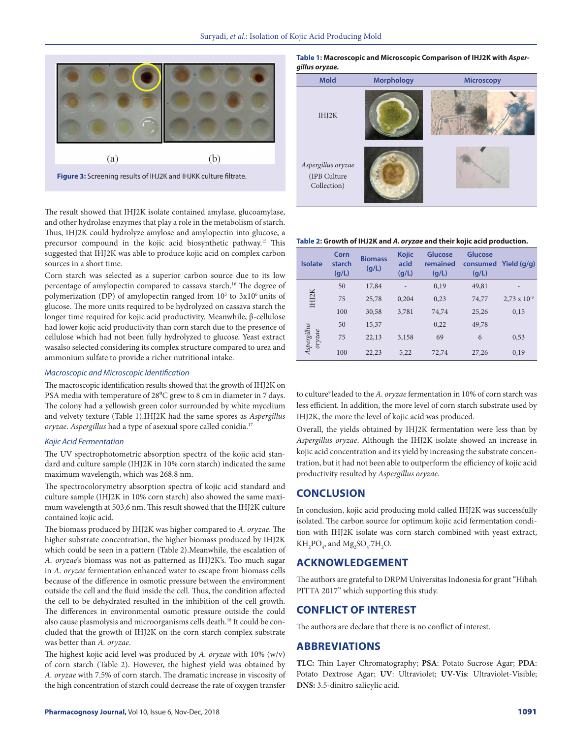

**Figure 3:** Screening results of IHJ2K and IHJKK culture filtrate.

The result showed that IHJ2K isolate contained amylase, glucoamylase, and other hydrolase enzymes that play a role in the metabolism of starch. Thus, IHJ2K could hydrolyze amylose and amylopectin into glucose, a precursor compound in the kojic acid biosynthetic pathway.15 This suggested that IHJ2K was able to produce kojic acid on complex carbon sources in a short time.

Corn starch was selected as a superior carbon source due to its low percentage of amylopectin compared to cassava starch.<sup>16</sup> The degree of polymerization (DP) of amylopectin ranged from 10<sup>5</sup> to 3x10<sup>6</sup> units of glucose. The more units required to be hydrolyzed on cassava starch the longer time required for kojic acid productivity. Meanwhile, β-cellulose had lower kojic acid productivity than corn starch due to the presence of cellulose which had not been fully hydrolyzed to glucose. Yeast extract wasalso selected considering its complex structure compared to urea and ammonium sulfate to provide a richer nutritional intake.

## *Macroscopic and Microscopic Identification*

The macroscopic identification results showed that the growth of IHJ2K on PSA media with temperature of 28<sup>o</sup>C grew to 8 cm in diameter in 7 days. The colony had a yellowish green color surrounded by white mycelium and velvety texture (Table 1).IHJ2K had the same spores as *Aspergillus oryzae*. *Aspergillus* had a type of asexual spore called conidia.17

## *Kojic Acid Fermentation*

The UV spectrophotometric absorption spectra of the kojic acid standard and culture sample (IHJ2K in 10% corn starch) indicated the same maximum wavelength, which was 268.8 nm.

The spectrocolorymetry absorption spectra of kojic acid standard and culture sample (IHJ2K in 10% corn starch) also showed the same maximum wavelength at 503,6 nm. This result showed that the IHJ2K culture contained kojic acid.

The biomass produced by IHJ2K was higher compared to *A. oryzae*. The higher substrate concentration, the higher biomass produced by IHJ2K which could be seen in a pattern (Table 2).Meanwhile, the escalation of *A. oryzae*'s biomass was not as patterned as IHJ2K's. Too much sugar in *A. oryzae* fermentation enhanced water to escape from biomass cells because of the difference in osmotic pressure between the environment outside the cell and the fluid inside the cell. Thus, the condition affected the cell to be dehydrated resulted in the inhibition of the cell growth. The differences in environmental osmotic pressure outside the could also cause plasmolysis and microorganisms cells death.18 It could be concluded that the growth of IHJ2K on the corn starch complex substrate was better than *A. oryzae*.

The highest kojic acid level was produced by *A. oryzae* with 10% (w/v) of corn starch (Table 2). However, the highest yield was obtained by *A. oryzae* with 7.5% of corn starch. The dramatic increase in viscosity of the high concentration of starch could decrease the rate of oxygen transfer

**Table 1: Macroscopic and Microscopic Comparison of IHJ2K with** *Aspergillus oryzae.*

| <b>Mold</b>                                       | <b>Morphology</b> | <b>Microscopy</b> |
|---------------------------------------------------|-------------------|-------------------|
| IHJ2K                                             |                   |                   |
| Aspergillus oryzae<br>(IPB Culture<br>Collection) |                   |                   |

#### **Table 2: Growth of IHJ2K and** *A. oryzae* **and their kojic acid production.**

| <b>Isolate</b>        | Corn<br>starch<br>(q/L) | <b>Biomass</b><br>(g/L) | <b>Kojic</b><br>acid<br>(g/L) | <b>Glucose</b><br>remained<br>(g/L) | Glucose<br>consumed<br>(q/L) | Yield $(q/q)$         |
|-----------------------|-------------------------|-------------------------|-------------------------------|-------------------------------------|------------------------------|-----------------------|
| IHJ2K                 | 50                      | 17,84                   |                               | 0,19                                | 49,81                        |                       |
|                       | 75                      | 25,78                   | 0,204                         | 0,23                                | 74,77                        | $2,73 \times 10^{-3}$ |
|                       | 100                     | 30,58                   | 3,781                         | 74,74                               | 25,26                        | 0,15                  |
| Aspergillus<br>oryzae | 50                      | 15,37                   |                               | 0,22                                | 49,78                        | $\qquad \qquad -$     |
|                       | 75                      | 22,13                   | 3,158                         | 69                                  | 6                            | 0,53                  |
|                       | 100                     | 22,23                   | 5,22                          | 72,74                               | 27,26                        | 0,19                  |

to culture<sup>9</sup> leaded to the *A. oryzae* fermentation in 10% of corn starch was less efficient. In addition, the more level of corn starch substrate used by IHJ2K, the more the level of kojic acid was produced.

Overall, the yields obtained by IHJ2K fermentation were less than by *Aspergillus oryzae*. Although the IHJ2K isolate showed an increase in kojic acid concentration and its yield by increasing the substrate concentration, but it had not been able to outperform the efficiency of kojic acid productivity resulted by *Aspergillus oryzae*.

# **CONCLUSION**

In conclusion, kojic acid producing mold called IHJ2K was successfully isolated. The carbon source for optimum kojic acid fermentation condition with IHJ2K isolate was corn starch combined with yeast extract,  $KH_2PO_4$ , and  $Mg_2SO_4$ .7H<sub>2</sub>O.

# **ACKNOWLEDGEMENT**

The authors are grateful to DRPM Universitas Indonesia for grant "Hibah PITTA 2017" which supporting this study.

# **CONFLICT OF INTEREST**

The authors are declare that there is no conflict of interest.

# **ABBREVIATIONS**

**TLC:** Thin Layer Chromatography; **PSA**: Potato Sucrose Agar; **PDA**: Potato Dextrose Agar; **UV**: Ultraviolet; **UV-Vis**: Ultraviolet-Visible; **DNS:** 3.5-dinitro salicylic acid.